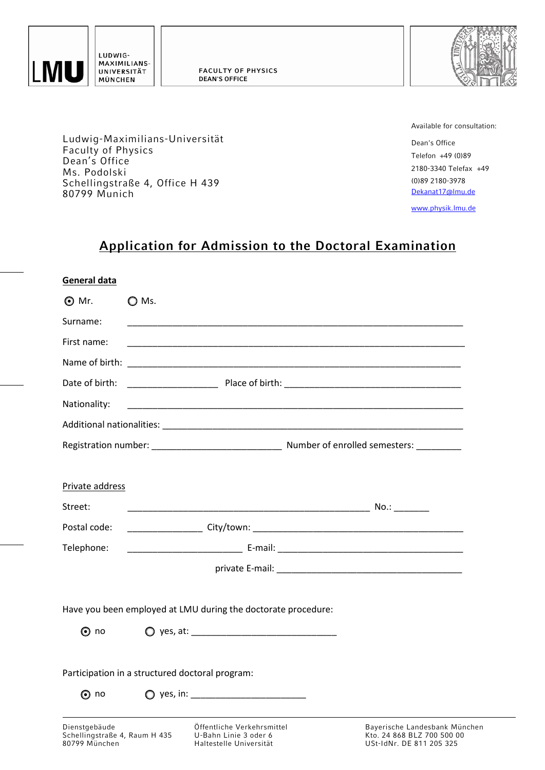

LUDWIG-MAXIMILIANS-UNIVERSITÄT MÜNCHEN

Faculty of Physics Dean's Office Ms. Podolski

80799 Munich

Ludwig-Maximilians-Universität

Schellingstraße 4, Office H 439



Available for consultation:

Dean's Office Telefon +49 (0)89 2180-3340 Telefax +49 [\(0\)89 2180-3978](mailto:Dekanat17@lmu.de)  Dekanat17@lmu.de

[www.physik.lmu.de](http://www.physik.lmu.de/)

# **Application for Admission to the Doctoral Examination**

| General data                                                    |                                                                                                                                       |                                                                                |                                                                                         |  |
|-----------------------------------------------------------------|---------------------------------------------------------------------------------------------------------------------------------------|--------------------------------------------------------------------------------|-----------------------------------------------------------------------------------------|--|
| $\odot$ Mr.                                                     | $\bigcirc$ Ms.<br><u> 1989 - Johann John Stoff, deutscher Stoffen und der Stoffen und der Stoffen und der Stoffen und der Stoffen</u> |                                                                                |                                                                                         |  |
| Surname:                                                        |                                                                                                                                       |                                                                                |                                                                                         |  |
| First name:                                                     |                                                                                                                                       |                                                                                |                                                                                         |  |
|                                                                 |                                                                                                                                       |                                                                                |                                                                                         |  |
| Date of birth:                                                  |                                                                                                                                       |                                                                                |                                                                                         |  |
| Nationality:                                                    |                                                                                                                                       |                                                                                |                                                                                         |  |
|                                                                 |                                                                                                                                       |                                                                                |                                                                                         |  |
|                                                                 |                                                                                                                                       |                                                                                |                                                                                         |  |
|                                                                 |                                                                                                                                       |                                                                                |                                                                                         |  |
| Private address                                                 |                                                                                                                                       |                                                                                |                                                                                         |  |
| Street:                                                         |                                                                                                                                       |                                                                                |                                                                                         |  |
| Postal code:                                                    |                                                                                                                                       |                                                                                |                                                                                         |  |
| Telephone:                                                      |                                                                                                                                       |                                                                                |                                                                                         |  |
|                                                                 |                                                                                                                                       |                                                                                |                                                                                         |  |
|                                                                 |                                                                                                                                       |                                                                                |                                                                                         |  |
|                                                                 |                                                                                                                                       | Have you been employed at LMU during the doctorate procedure:                  |                                                                                         |  |
| $\odot$ no                                                      |                                                                                                                                       | $\bigcirc$ yes, at:                                                            |                                                                                         |  |
|                                                                 |                                                                                                                                       |                                                                                |                                                                                         |  |
|                                                                 |                                                                                                                                       | Participation in a structured doctoral program:                                |                                                                                         |  |
| $\odot$ no                                                      |                                                                                                                                       | $\bigcirc$ yes, in:                                                            |                                                                                         |  |
|                                                                 |                                                                                                                                       |                                                                                |                                                                                         |  |
| Dienstgebäude<br>Schellingstraße 4, Raum H 435<br>80799 München |                                                                                                                                       | Öffentliche Verkehrsmittel<br>U-Bahn Linie 3 oder 6<br>Haltestelle Universität | Bayerische Landesbank München<br>Kto. 24 868 BLZ 700 500 00<br>USt-IdNr. DE 811 205 325 |  |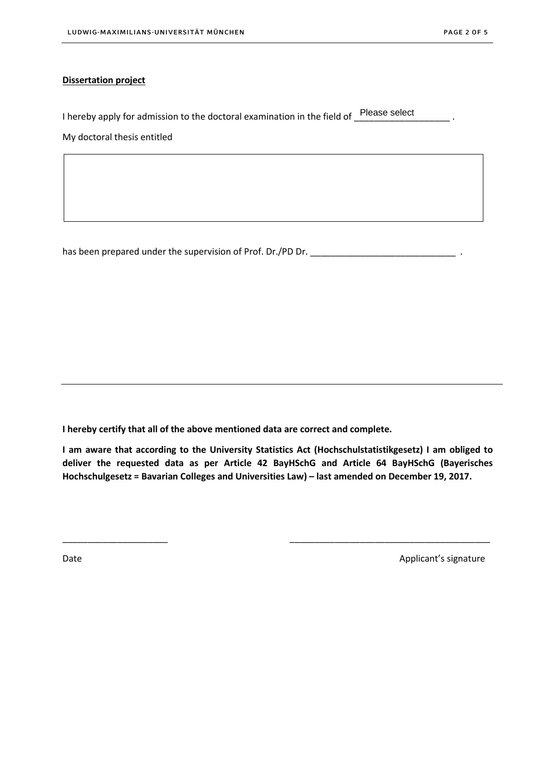#### **Dissertation project**

| I hereby apply for admission to the doctoral examination in the field of Please select |  |
|----------------------------------------------------------------------------------------|--|
| My doctoral thesis entitled                                                            |  |

has been prepared under the supervision of Prof. Dr./PD Dr. \_\_\_\_\_\_\_\_\_\_\_\_\_\_\_\_\_\_\_\_\_\_\_\_\_\_\_\_\_ .

**I hereby certify that all of the above mentioned data are correct and complete.**

**I am aware that according to the University Statistics Act (Hochschulstatistikgesetz) I am obliged to deliver the requested data as per Article [42 BayHSchG an](http://www.gesetze-bayern.de/Content/Document/BayHSchG-42)d [Article 64 BayHSch](http://www.gesetze-bayern.de/Content/Document/BayHSchG-64)G (Bayerisches Hochschulgesetz = Bavarian Colleges and Universities Law) – last amended on December 19, 2017.**

\_\_\_\_\_\_\_\_\_\_\_\_\_\_\_\_\_\_\_\_\_ \_\_\_\_\_\_\_\_\_\_\_\_\_\_\_\_\_\_\_\_\_\_\_\_\_\_\_\_\_\_\_\_\_\_\_\_\_\_\_\_

Date **Applicant's signature** COLORED Applicant's signature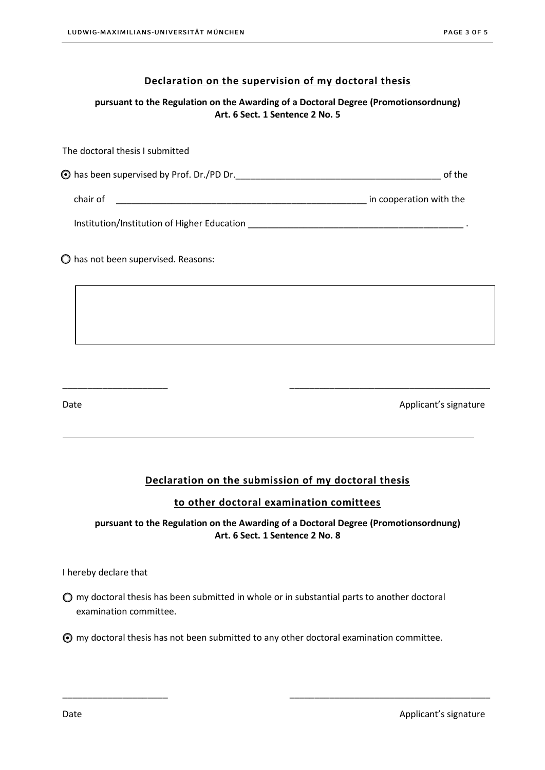#### **Declaration on the supervision of my doctoral thesis**

**pursuant to the Regulation on the Awarding of a Doctoral Degree (Promotionsordnung) Art. 6 Sect. 1 Sentence 2 No. 5**

The doctoral thesis I submitted has been supervised by Prof. Dr./PD Dr.\_\_\_\_\_\_\_\_\_\_\_\_\_\_\_\_\_\_\_\_\_\_\_\_\_\_\_\_\_\_\_\_\_\_\_\_\_\_\_\_\_ of the chair of  $\Box$ Institution/Institution of Higher Education \_\_\_\_\_\_\_\_\_\_\_\_\_\_\_\_\_\_\_\_\_\_\_\_\_\_\_\_\_\_\_\_\_\_\_\_\_\_\_\_\_\_\_ .

has not been supervised. Reasons:

Date **Applicant's signature** Applicant's signature

## **Declaration on the submission of my doctoral thesis**

\_\_\_\_\_\_\_\_\_\_\_\_\_\_\_\_\_\_\_\_\_ \_\_\_\_\_\_\_\_\_\_\_\_\_\_\_\_\_\_\_\_\_\_\_\_\_\_\_\_\_\_\_\_\_\_\_\_\_\_\_\_

#### **to other doctoral examination comittees**

#### **pursuant to the Regulation on the Awarding of a Doctoral Degree (Promotionsordnung) Art. 6 Sect. 1 Sentence 2 No. 8**

I hereby declare that

 $\bigcirc$  my doctoral thesis has been submitted in whole or in substantial parts to another doctoral examination committee.

my doctoral thesis has not been submitted to any other doctoral examination committee.

\_\_\_\_\_\_\_\_\_\_\_\_\_\_\_\_\_\_\_\_\_ \_\_\_\_\_\_\_\_\_\_\_\_\_\_\_\_\_\_\_\_\_\_\_\_\_\_\_\_\_\_\_\_\_\_\_\_\_\_\_\_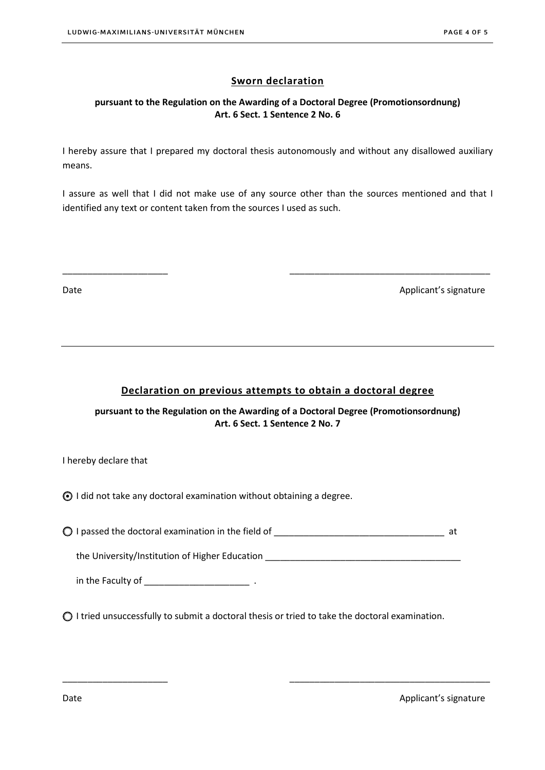### **Sworn declaration**

#### **pursuant to the Regulation on the Awarding of a Doctoral Degree (Promotionsordnung) Art. 6 Sect. 1 Sentence 2 No. 6**

I hereby assure that I prepared my doctoral thesis autonomously and without any disallowed auxiliary means.

I assure as well that I did not make use of any source other than the sources mentioned and that I identified any text or content taken from the sources I used as such.

\_\_\_\_\_\_\_\_\_\_\_\_\_\_\_\_\_\_\_\_\_ \_\_\_\_\_\_\_\_\_\_\_\_\_\_\_\_\_\_\_\_\_\_\_\_\_\_\_\_\_\_\_\_\_\_\_\_\_\_\_\_

Date **Applicant's signature** Applicant's signature

#### **Declaration on previous attempts to obtain a doctoral degree**

**pursuant to the Regulation on the Awarding of a Doctoral Degree (Promotionsordnung) Art. 6 Sect. 1 Sentence 2 No. 7**

I hereby declare that

I did not take any doctoral examination without obtaining a degree.

I passed the doctoral examination in the field of \_\_\_\_\_\_\_\_\_\_\_\_\_\_\_\_\_\_\_\_\_\_\_\_\_\_\_\_\_\_\_\_\_\_ at

the University/Institution of Higher Education

\_\_\_\_\_\_\_\_\_\_\_\_\_\_\_\_\_\_\_\_\_ \_\_\_\_\_\_\_\_\_\_\_\_\_\_\_\_\_\_\_\_\_\_\_\_\_\_\_\_\_\_\_\_\_\_\_\_\_\_\_\_

in the Faculty of \_\_\_\_\_\_\_\_\_\_\_\_\_\_\_\_\_\_\_\_\_ .

 $\bigcirc$  I tried unsuccessfully to submit a doctoral thesis or tried to take the doctoral examination.